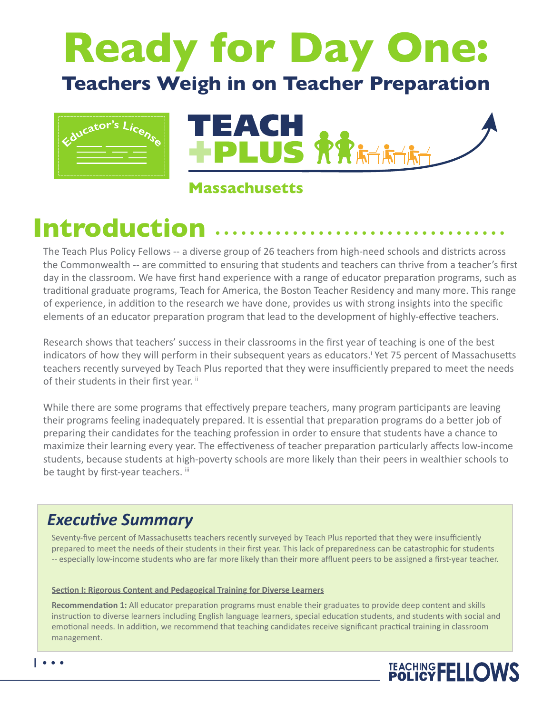# **Ready for Day One: Teachers Weigh in on Teacher Preparation**



**Massachusetts** 

## **Introduction**

The Teach Plus Policy Fellows -- a diverse group of 26 teachers from high-need schools and districts across the Commonwealth -- are committed to ensuring that students and teachers can thrive from a teacher's first day in the classroom. We have first hand experience with a range of educator preparation programs, such as traditional graduate programs, Teach for America, the Boston Teacher Residency and many more. This range of experience, in addition to the research we have done, provides us with strong insights into the specific elements of an educator preparation program that lead to the development of highly-effective teachers.

Research shows that teachers' success in their classrooms in the first year of teaching is one of the best indicators of how they will perform in their subsequent years as educators.<sup>†</sup> Yet 75 percent of Massachusetts teachers recently surveyed by Teach Plus reported that they were insufficiently prepared to meet the needs of their students in their first year. ii

While there are some programs that effectively prepare teachers, many program participants are leaving their programs feeling inadequately prepared. It is essential that preparation programs do a better job of preparing their candidates for the teaching profession in order to ensure that students have a chance to maximize their learning every year. The effectiveness of teacher preparation particularly affects low-income students, because students at high-poverty schools are more likely than their peers in wealthier schools to be taught by first-year teachers. iii

### *Executive Summary*

Seventy-five percent of Massachusetts teachers recently surveyed by Teach Plus reported that they were insufficiently prepared to meet the needs of their students in their first year. This lack of preparedness can be catastrophic for students -- especially low-income students who are far more likely than their more affluent peers to be assigned a first-year teacher.

#### **Section I: Rigorous Content and Pedagogical Training for Diverse Learners**

**Recommendation 1:** All educator preparation programs must enable their graduates to provide deep content and skills instruction to diverse learners including English language learners, special education students, and students with social and emotional needs. In addition, we recommend that teaching candidates receive significant practical training in classroom management.

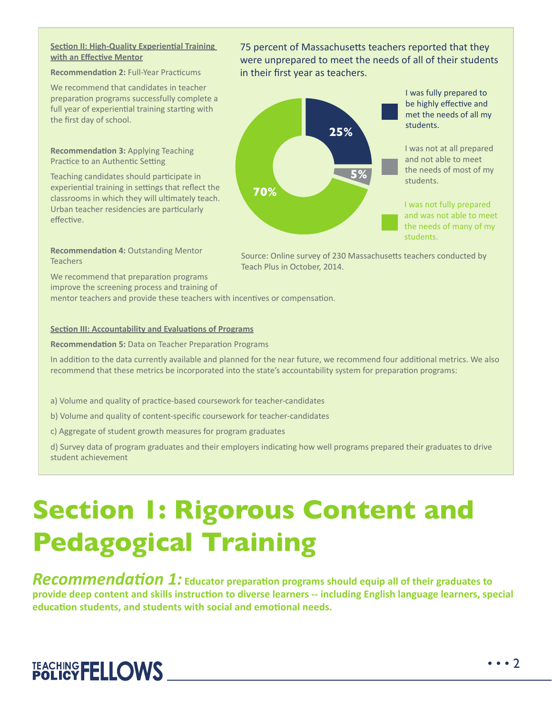#### **Section II: High-Quality Experiential Training with an Effective Mentor**

#### **Recommendation 2:** Full-Year Practicums

We recommend that candidates in teacher preparation programs successfully complete a full year of experiential training starting with the first day of school.

**Recommendation 3:** Applying Teaching Practice to an Authentic Setting

Teaching candidates should participate in experiential training in settings that reflect the classrooms in which they will ultimately teach. Urban teacher residencies are particularly effective.

75 percent of Massachusetts teachers reported that they were unprepared to meet the needs of all of their students in their first year as teachers.



I was fully prepared to be highly effective and met the needs of all my students.

I was not at all prepared and not able to meet the needs of most of my students.

I was not fully prepared and was not able to meet the needs of many of my students.

**Recommendation 4:** Outstanding Mentor **Teachers** 

Source: Online survey of 230 Massachusetts teachers conducted by Teach Plus in October, 2014.

We recommend that preparation programs improve the screening process and training of

mentor teachers and provide these teachers with incentives or compensation.

#### **Section III: Accountability and Evaluations of Programs**

**Recommendation 5:** Data on Teacher Preparation Programs

In addition to the data currently available and planned for the near future, we recommend four additional metrics. We also recommend that these metrics be incorporated into the state's accountability system for preparation programs:

- a) Volume and quality of practice-based coursework for teacher-candidates
- b) Volume and quality of content-specific coursework for teacher-candidates
- c) Aggregate of student growth measures for program graduates

d) Survey data of program graduates and their employers indicating how well programs prepared their graduates to drive student achievement

## **Section 1: Rigorous Content and Pedagogical Training**

*Recommendation 1:* **Educator preparation programs should equip all of their graduates to provide deep content and skills instruction to diverse learners -- including English language learners, special education students, and students with social and emotional needs.** 

## TEACHING FELLOWS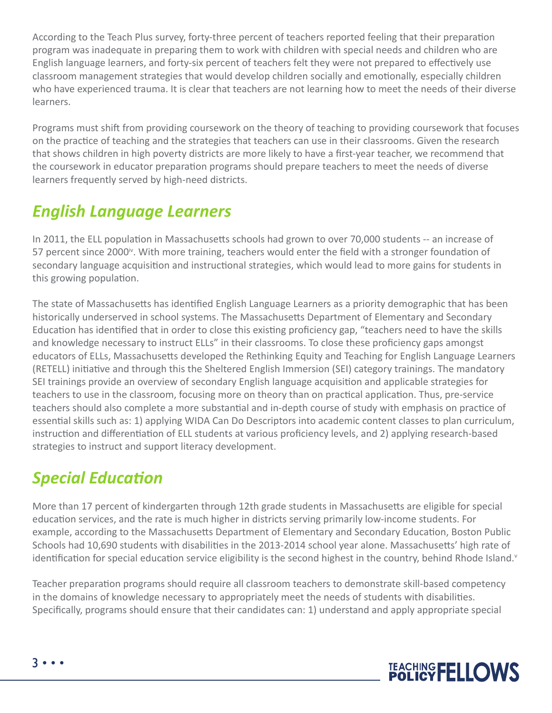According to the Teach Plus survey, forty-three percent of teachers reported feeling that their preparation program was inadequate in preparing them to work with children with special needs and children who are English language learners, and forty-six percent of teachers felt they were not prepared to effectively use classroom management strategies that would develop children socially and emotionally, especially children who have experienced trauma. It is clear that teachers are not learning how to meet the needs of their diverse learners.

Programs must shift from providing coursework on the theory of teaching to providing coursework that focuses on the practice of teaching and the strategies that teachers can use in their classrooms. Given the research that shows children in high poverty districts are more likely to have a first-year teacher, we recommend that the coursework in educator preparation programs should prepare teachers to meet the needs of diverse learners frequently served by high-need districts.

### *English Language Learners*

In 2011, the ELL population in Massachusetts schools had grown to over 70,000 students -- an increase of 57 percent since 2000<sup>t</sup>. With more training, teachers would enter the field with a stronger foundation of secondary language acquisition and instructional strategies, which would lead to more gains for students in this growing population.

The state of Massachusetts has identified English Language Learners as a priority demographic that has been historically underserved in school systems. The Massachusetts Department of Elementary and Secondary Education has identified that in order to close this existing proficiency gap, "teachers need to have the skills and knowledge necessary to instruct ELLs" in their classrooms. To close these proficiency gaps amongst educators of ELLs, Massachusetts developed the Rethinking Equity and Teaching for English Language Learners (RETELL) initiative and through this the Sheltered English Immersion (SEI) category trainings. The mandatory SEI trainings provide an overview of secondary English language acquisition and applicable strategies for teachers to use in the classroom, focusing more on theory than on practical application. Thus, pre-service teachers should also complete a more substantial and in-depth course of study with emphasis on practice of essential skills such as: 1) applying WIDA Can Do Descriptors into academic content classes to plan curriculum, instruction and differentiation of ELL students at various proficiency levels, and 2) applying research-based strategies to instruct and support literacy development.

### *Special Education*

More than 17 percent of kindergarten through 12th grade students in Massachusetts are eligible for special education services, and the rate is much higher in districts serving primarily low-income students. For example, according to the Massachusetts Department of Elementary and Secondary Education, Boston Public Schools had 10,690 students with disabilities in the 2013-2014 school year alone. Massachusetts' high rate of identification for special education service eligibility is the second highest in the country, behind Rhode Island. $v$ 

Teacher preparation programs should require all classroom teachers to demonstrate skill-based competency in the domains of knowledge necessary to appropriately meet the needs of students with disabilities. Specifically, programs should ensure that their candidates can: 1) understand and apply appropriate special

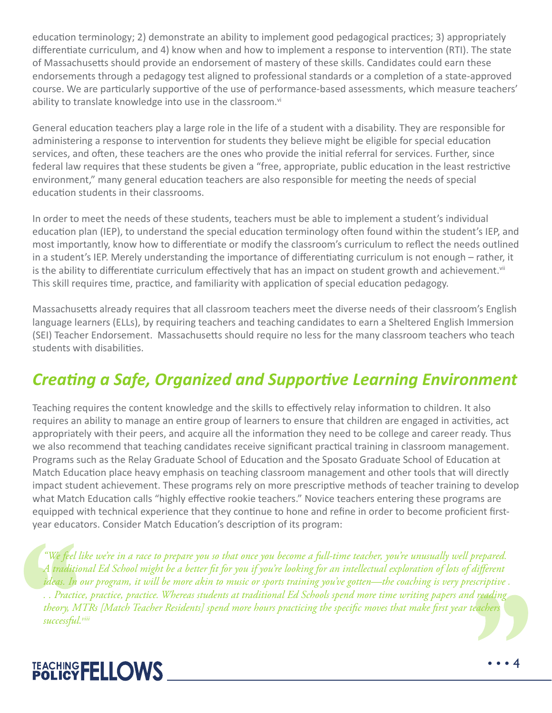education terminology; 2) demonstrate an ability to implement good pedagogical practices; 3) appropriately differentiate curriculum, and 4) know when and how to implement a response to intervention (RTI). The state of Massachusetts should provide an endorsement of mastery of these skills. Candidates could earn these endorsements through a pedagogy test aligned to professional standards or a completion of a state-approved course. We are particularly supportive of the use of performance-based assessments, which measure teachers' ability to translate knowledge into use in the classroom.<sup>vi</sup>

General education teachers play a large role in the life of a student with a disability. They are responsible for administering a response to intervention for students they believe might be eligible for special education services, and often, these teachers are the ones who provide the initial referral for services. Further, since federal law requires that these students be given a "free, appropriate, public education in the least restrictive environment," many general education teachers are also responsible for meeting the needs of special education students in their classrooms.

In order to meet the needs of these students, teachers must be able to implement a student's individual education plan (IEP), to understand the special education terminology often found within the student's IEP, and most importantly, know how to differentiate or modify the classroom's curriculum to reflect the needs outlined in a student's IEP. Merely understanding the importance of differentiating curriculum is not enough – rather, it is the ability to differentiate curriculum effectively that has an impact on student growth and achievement. $v_{\text{in}}$ This skill requires time, practice, and familiarity with application of special education pedagogy.

Massachusetts already requires that all classroom teachers meet the diverse needs of their classroom's English language learners (ELLs), by requiring teachers and teaching candidates to earn a Sheltered English Immersion (SEI) Teacher Endorsement. Massachusetts should require no less for the many classroom teachers who teach students with disabilities.

## *Creating a Safe, Organized and Supportive Learning Environment*

Teaching requires the content knowledge and the skills to effectively relay information to children. It also requires an ability to manage an entire group of learners to ensure that children are engaged in activities, act appropriately with their peers, and acquire all the information they need to be college and career ready. Thus we also recommend that teaching candidates receive significant practical training in classroom management. Programs such as the Relay Graduate School of Education and the Sposato Graduate School of Education at Match Education place heavy emphasis on teaching classroom management and other tools that will directly impact student achievement. These programs rely on more prescriptive methods of teacher training to develop what Match Education calls "highly effective rookie teachers." Novice teachers entering these programs are equipped with technical experience that they continue to hone and refine in order to become proficient firstyear educators. Consider Match Education's description of its program:

*"We feel like we're in a race to prepare you so that once you become a full-time teacher, you're unusually well prepared. A traditional Ed School might be a better fit for you if you're looking for an intellectual exploration of lots of different ideas. In our program, it will be more akin to music or sports training you've gotten—the coaching is very prescriptive . . . Practice, practice, practice. Whereas students at traditional Ed Schools spend more time writing papers and reading theory, MTRs [Match Teacher Residents] spend more hours practicing the specific moves that make first year teachers successful.viii*

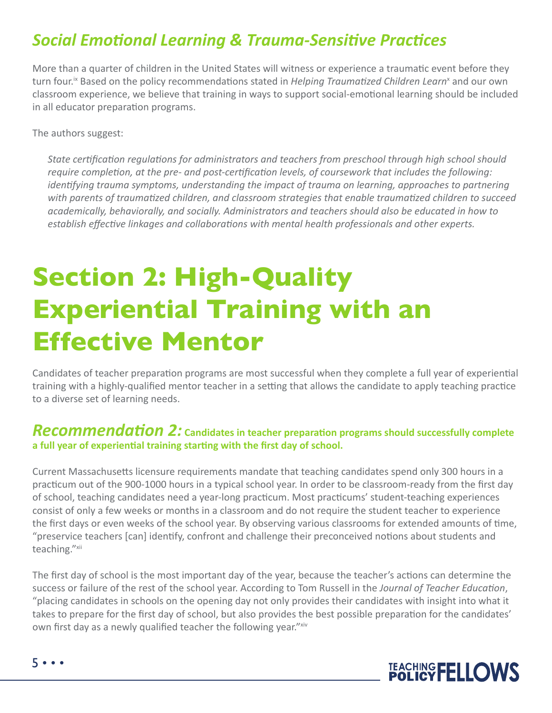### *Social Emotional Learning & Trauma-Sensitive Practices*

More than a quarter of children in the United States will witness or experience a traumatic event before they turn four.<sup>ix</sup> Based on the policy recommendations stated in *Helping Traumatized Children Learn*<sup>x</sup> and our own classroom experience, we believe that training in ways to support social-emotional learning should be included in all educator preparation programs.

The authors suggest:

*State certification regulations for administrators and teachers from preschool through high school should require completion, at the pre- and post-certification levels, of coursework that includes the following: identifying trauma symptoms, understanding the impact of trauma on learning, approaches to partnering with parents of traumatized children, and classroom strategies that enable traumatized children to succeed academically, behaviorally, and socially. Administrators and teachers should also be educated in how to establish effective linkages and collaborations with mental health professionals and other experts.* 

## **Section 2: High-Quality Experiential Training with an Effective Mentor**

Candidates of teacher preparation programs are most successful when they complete a full year of experiential training with a highly-qualified mentor teacher in a setting that allows the candidate to apply teaching practice to a diverse set of learning needs.

#### *Recommendation 2:* **Candidates in teacher preparation programs should successfully complete a full year of experiential training starting with the first day of school.**

Current Massachusetts licensure requirements mandate that teaching candidates spend only 300 hours in a practicum out of the 900-1000 hours in a typical school year. In order to be classroom-ready from the first day of school, teaching candidates need a year-long practicum. Most practicums' student-teaching experiences consist of only a few weeks or months in a classroom and do not require the student teacher to experience the first days or even weeks of the school year. By observing various classrooms for extended amounts of time, "preservice teachers [can] identify, confront and challenge their preconceived notions about students and teaching."xii

The first day of school is the most important day of the year, because the teacher's actions can determine the success or failure of the rest of the school year. According to Tom Russell in the *Journal of Teacher Education*, "placing candidates in schools on the opening day not only provides their candidates with insight into what it takes to prepare for the first day of school, but also provides the best possible preparation for the candidates' own first day as a newly qualified teacher the following year."xiv

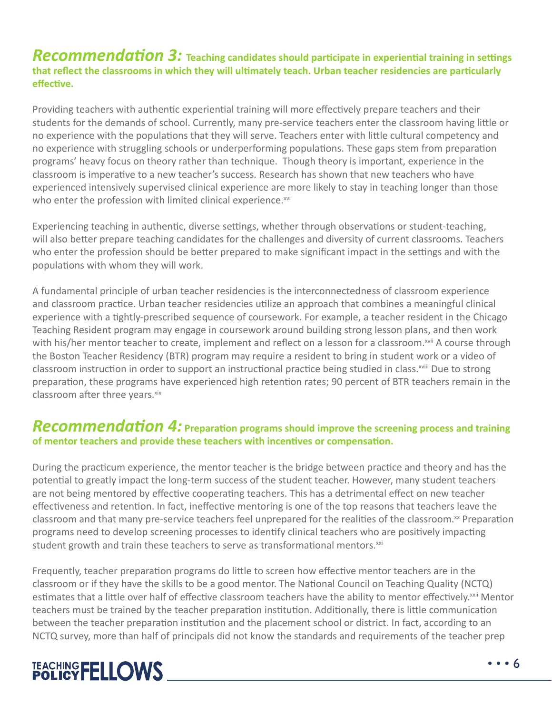#### *Recommendation 3:* **Teaching candidates should participate in experiential training in settings that reflect the classrooms in which they will ultimately teach. Urban teacher residencies are particularly effective.**

Providing teachers with authentic experiential training will more effectively prepare teachers and their students for the demands of school. Currently, many pre-service teachers enter the classroom having little or no experience with the populations that they will serve. Teachers enter with little cultural competency and no experience with struggling schools or underperforming populations. These gaps stem from preparation programs' heavy focus on theory rather than technique. Though theory is important, experience in the classroom is imperative to a new teacher's success. Research has shown that new teachers who have experienced intensively supervised clinical experience are more likely to stay in teaching longer than those who enter the profession with limited clinical experience.<sup>xvi</sup>

Experiencing teaching in authentic, diverse settings, whether through observations or student-teaching, will also better prepare teaching candidates for the challenges and diversity of current classrooms. Teachers who enter the profession should be better prepared to make significant impact in the settings and with the populations with whom they will work.

A fundamental principle of urban teacher residencies is the interconnectedness of classroom experience and classroom practice. Urban teacher residencies utilize an approach that combines a meaningful clinical experience with a tightly-prescribed sequence of coursework. For example, a teacher resident in the Chicago Teaching Resident program may engage in coursework around building strong lesson plans, and then work with his/her mentor teacher to create, implement and reflect on a lesson for a classroom.<sup>xvii</sup> A course through the Boston Teacher Residency (BTR) program may require a resident to bring in student work or a video of classroom instruction in order to support an instructional practice being studied in class. XVIII Due to strong preparation, these programs have experienced high retention rates; 90 percent of BTR teachers remain in the classroom after three years. xix

#### *Recommendation 4:* **Preparation programs should improve the screening process and training of mentor teachers and provide these teachers with incentives or compensation.**

During the practicum experience, the mentor teacher is the bridge between practice and theory and has the potential to greatly impact the long-term success of the student teacher. However, many student teachers are not being mentored by effective cooperating teachers. This has a detrimental effect on new teacher effectiveness and retention. In fact, ineffective mentoring is one of the top reasons that teachers leave the classroom and that many pre-service teachers feel unprepared for the realities of the classroom.<sup>xx</sup> Preparation programs need to develop screening processes to identify clinical teachers who are positively impacting student growth and train these teachers to serve as transformational mentors.<sup>xxi</sup>

Frequently, teacher preparation programs do little to screen how effective mentor teachers are in the classroom or if they have the skills to be a good mentor. The National Council on Teaching Quality (NCTQ) estimates that a little over half of effective classroom teachers have the ability to mentor effectively.<sup>xxii</sup> Mentor teachers must be trained by the teacher preparation institution. Additionally, there is little communication between the teacher preparation institution and the placement school or district. In fact, according to an NCTQ survey, more than half of principals did not know the standards and requirements of the teacher prep

## TEACHING FELLOWS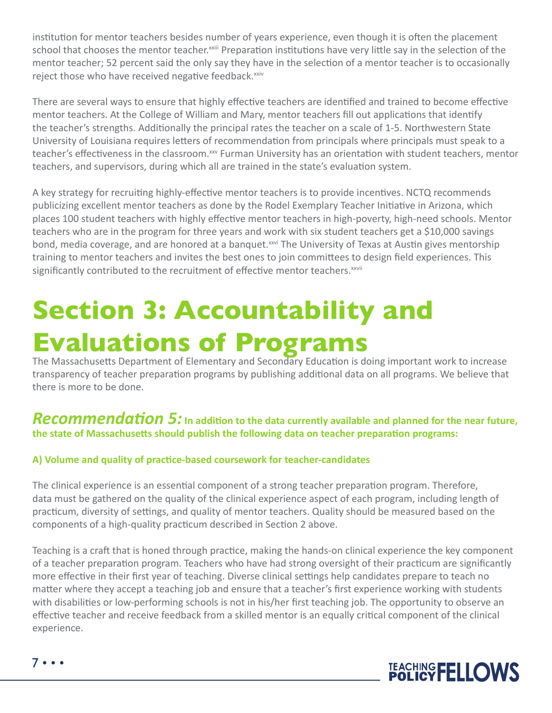institution for mentor teachers besides number of years experience, even though it is often the placement school that chooses the mentor teacher.<sup>xxiii</sup> Preparation institutions have very little say in the selection of the mentor teacher; 52 percent said the only say they have in the selection of a mentor teacher is to occasionally reject those who have received negative feedback.<sup>xxiv</sup>

There are several ways to ensure that highly effective teachers are identified and trained to become effective mentor teachers. At the College of William and Mary, mentor teachers fill out applications that identify the teacher's strengths. Additionally the principal rates the teacher on a scale of 1-5. Northwestern State University of Louisiana requires letters of recommendation from principals where principals must speak to a teacher's effectiveness in the classroom.<sup>xxv</sup> Furman University has an orientation with student teachers, mentor teachers, and supervisors, during which all are trained in the state's evaluation system.

A key strategy for recruiting highly-effective mentor teachers is to provide incentives. NCTQ recommends publicizing excellent mentor teachers as done by the Rodel Exemplary Teacher Initiative in Arizona, which places 100 student teachers with highly effective mentor teachers in high-poverty, high-need schools. Mentor teachers who are in the program for three years and work with six student teachers get a \$10,000 savings bond, media coverage, and are honored at a banquet.<sup>xxvi</sup> The University of Texas at Austin gives mentorship training to mentor teachers and invites the best ones to join committees to design field experiences. This significantly contributed to the recruitment of effective mentor teachers. xxvii

## **Section 3: Accountability and Evaluations of Programs**

The Massachusetts Department of Elementary and Secondary Education is doing important work to increase transparency of teacher preparation programs by publishing additional data on all programs. We believe that there is more to be done.

#### *Recommendation 5:* **In addition to the data currently available and planned for the near future, the state of Massachusetts should publish the following data on teacher preparation programs:**

#### **A) Volume and quality of practice-based coursework for teacher-candidates**

The clinical experience is an essential component of a strong teacher preparation program. Therefore, data must be gathered on the quality of the clinical experience aspect of each program, including length of practicum, diversity of settings, and quality of mentor teachers. Quality should be measured based on the components of a high-quality practicum described in Section 2 above.

Teaching is a craft that is honed through practice, making the hands-on clinical experience the key component of a teacher preparation program. Teachers who have had strong oversight of their practicum are significantly more effective in their first year of teaching. Diverse clinical settings help candidates prepare to teach no matter where they accept a teaching job and ensure that a teacher's first experience working with students with disabilities or low-performing schools is not in his/her first teaching job. The opportunity to observe an effective teacher and receive feedback from a skilled mentor is an equally critical component of the clinical experience.

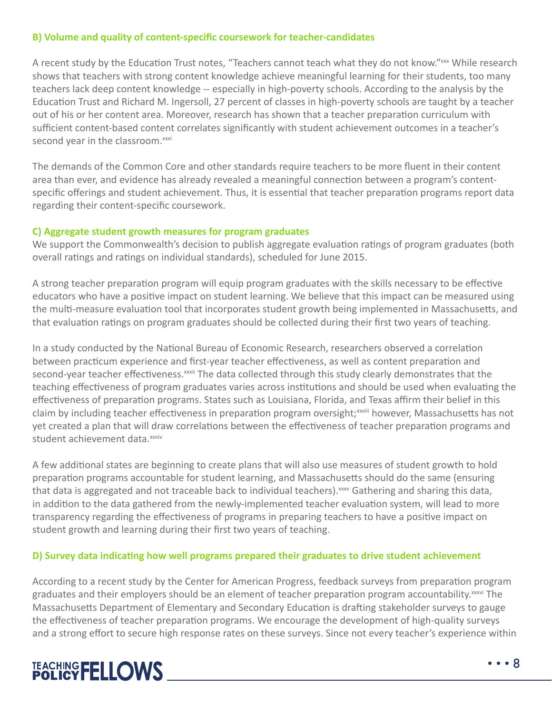#### **B) Volume and quality of content-specific coursework for teacher-candidates**

A recent study by the Education Trust notes, "Teachers cannot teach what they do not know."xxx While research shows that teachers with strong content knowledge achieve meaningful learning for their students, too many teachers lack deep content knowledge -- especially in high-poverty schools. According to the analysis by the Education Trust and Richard M. Ingersoll, 27 percent of classes in high-poverty schools are taught by a teacher out of his or her content area. Moreover, research has shown that a teacher preparation curriculum with sufficient content-based content correlates significantly with student achievement outcomes in a teacher's second year in the classroom.<sup>xxxi</sup>

The demands of the Common Core and other standards require teachers to be more fluent in their content area than ever, and evidence has already revealed a meaningful connection between a program's contentspecific offerings and student achievement. Thus, it is essential that teacher preparation programs report data regarding their content-specific coursework.

#### **C) Aggregate student growth measures for program graduates**

We support the Commonwealth's decision to publish aggregate evaluation ratings of program graduates (both overall ratings and ratings on individual standards), scheduled for June 2015.

A strong teacher preparation program will equip program graduates with the skills necessary to be effective educators who have a positive impact on student learning. We believe that this impact can be measured using the multi-measure evaluation tool that incorporates student growth being implemented in Massachusetts, and that evaluation ratings on program graduates should be collected during their first two years of teaching.

In a study conducted by the National Bureau of Economic Research, researchers observed a correlation between practicum experience and first-year teacher effectiveness, as well as content preparation and second-year teacher effectiveness.<sup>xxxii</sup> The data collected through this study clearly demonstrates that the teaching effectiveness of program graduates varies across institutions and should be used when evaluating the effectiveness of preparation programs. States such as Louisiana, Florida, and Texas affirm their belief in this claim by including teacher effectiveness in preparation program oversight;<sup>xxxiii</sup> however, Massachusetts has not yet created a plan that will draw correlations between the effectiveness of teacher preparation programs and student achievement data.<sup>xxxiv</sup>

A few additional states are beginning to create plans that will also use measures of student growth to hold preparation programs accountable for student learning, and Massachusetts should do the same (ensuring that data is aggregated and not traceable back to individual teachers). $x_{av}$  Gathering and sharing this data, in addition to the data gathered from the newly-implemented teacher evaluation system, will lead to more transparency regarding the effectiveness of programs in preparing teachers to have a positive impact on student growth and learning during their first two years of teaching.

#### **D) Survey data indicating how well programs prepared their graduates to drive student achievement**

According to a recent study by the Center for American Progress, feedback surveys from preparation program graduates and their employers should be an element of teacher preparation program accountability.<sup>xxxvi</sup> The Massachusetts Department of Elementary and Secondary Education is drafting stakeholder surveys to gauge the effectiveness of teacher preparation programs. We encourage the development of high-quality surveys and a strong effort to secure high response rates on these surveys. Since not every teacher's experience within

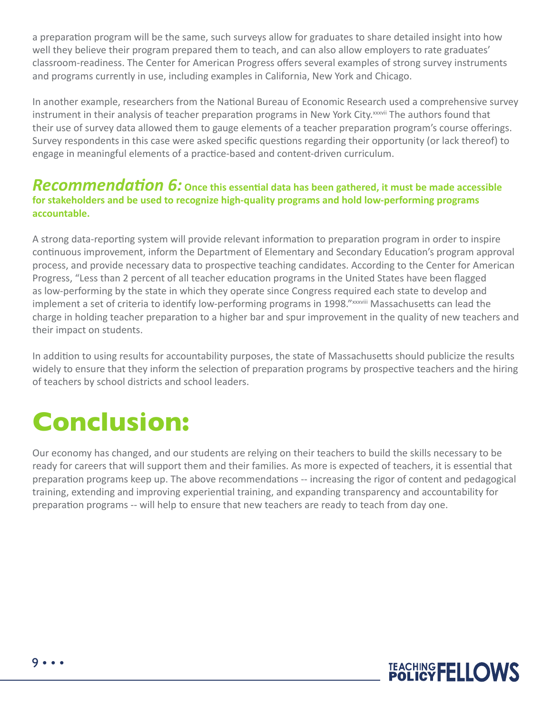a preparation program will be the same, such surveys allow for graduates to share detailed insight into how well they believe their program prepared them to teach, and can also allow employers to rate graduates' classroom-readiness. The Center for American Progress offers several examples of strong survey instruments and programs currently in use, including examples in California, New York and Chicago.

In another example, researchers from the National Bureau of Economic Research used a comprehensive survey instrument in their analysis of teacher preparation programs in New York City.<sup>xxxvii</sup> The authors found that their use of survey data allowed them to gauge elements of a teacher preparation program's course offerings. Survey respondents in this case were asked specific questions regarding their opportunity (or lack thereof) to engage in meaningful elements of a practice-based and content-driven curriculum.

#### Recommendation 6: Once this essential data has been gathered, it must be made accessible **for stakeholders and be used to recognize high-quality programs and hold low-performing programs accountable.**

A strong data-reporting system will provide relevant information to preparation program in order to inspire continuous improvement, inform the Department of Elementary and Secondary Education's program approval process, and provide necessary data to prospective teaching candidates. According to the Center for American Progress, "Less than 2 percent of all teacher education programs in the United States have been flagged as low-performing by the state in which they operate since Congress required each state to develop and implement a set of criteria to identify low-performing programs in 1998."xxxviii Massachusetts can lead the charge in holding teacher preparation to a higher bar and spur improvement in the quality of new teachers and their impact on students.

In addition to using results for accountability purposes, the state of Massachusetts should publicize the results widely to ensure that they inform the selection of preparation programs by prospective teachers and the hiring of teachers by school districts and school leaders.

## **Conclusion:**

Our economy has changed, and our students are relying on their teachers to build the skills necessary to be ready for careers that will support them and their families. As more is expected of teachers, it is essential that preparation programs keep up. The above recommendations -- increasing the rigor of content and pedagogical training, extending and improving experiential training, and expanding transparency and accountability for preparation programs -- will help to ensure that new teachers are ready to teach from day one.

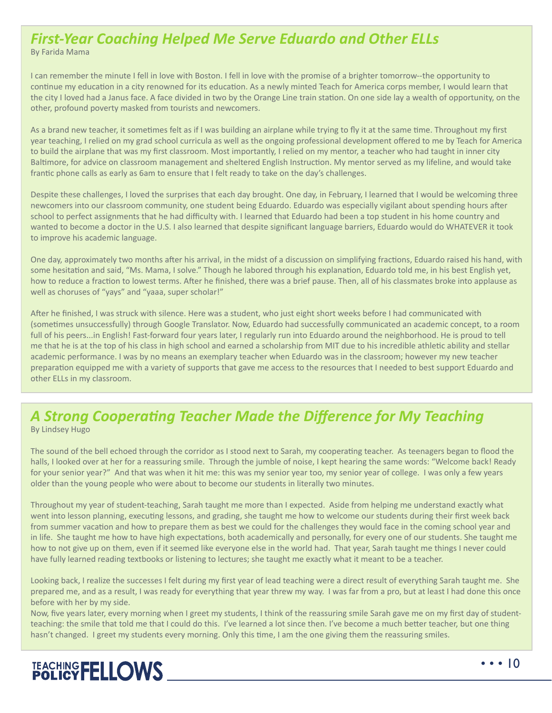### *First-Year Coaching Helped Me Serve Eduardo and Other ELLs*

By Farida Mama

I can remember the minute I fell in love with Boston. I fell in love with the promise of a brighter tomorrow--the opportunity to continue my education in a city renowned for its education. As a newly minted Teach for America corps member, I would learn that the city I loved had a Janus face. A face divided in two by the Orange Line train station. On one side lay a wealth of opportunity, on the other, profound poverty masked from tourists and newcomers.

As a brand new teacher, it sometimes felt as if I was building an airplane while trying to fly it at the same time. Throughout my first year teaching, I relied on my grad school curricula as well as the ongoing professional development offered to me by Teach for America to build the airplane that was my first classroom. Most importantly, I relied on my mentor, a teacher who had taught in inner city Baltimore, for advice on classroom management and sheltered English Instruction. My mentor served as my lifeline, and would take frantic phone calls as early as 6am to ensure that I felt ready to take on the day's challenges.

Despite these challenges, I loved the surprises that each day brought. One day, in February, I learned that I would be welcoming three newcomers into our classroom community, one student being Eduardo. Eduardo was especially vigilant about spending hours after school to perfect assignments that he had difficulty with. I learned that Eduardo had been a top student in his home country and wanted to become a doctor in the U.S. I also learned that despite significant language barriers, Eduardo would do WHATEVER it took to improve his academic language.

One day, approximately two months after his arrival, in the midst of a discussion on simplifying fractions, Eduardo raised his hand, with some hesitation and said, "Ms. Mama, I solve." Though he labored through his explanation, Eduardo told me, in his best English yet, how to reduce a fraction to lowest terms. After he finished, there was a brief pause. Then, all of his classmates broke into applause as well as choruses of "yays" and "yaaa, super scholar!"

After he finished, I was struck with silence. Here was a student, who just eight short weeks before I had communicated with (sometimes unsuccessfully) through Google Translator. Now, Eduardo had successfully communicated an academic concept, to a room full of his peers...in English! Fast-forward four years later, I regularly run into Eduardo around the neighborhood. He is proud to tell me that he is at the top of his class in high school and earned a scholarship from MIT due to his incredible athletic ability and stellar academic performance. I was by no means an exemplary teacher when Eduardo was in the classroom; however my new teacher preparation equipped me with a variety of supports that gave me access to the resources that I needed to best support Eduardo and other ELLs in my classroom.

#### *A Strong Cooperating Teacher Made the Difference for My Teaching* By Lindsey Hugo

The sound of the bell echoed through the corridor as I stood next to Sarah, my cooperating teacher. As teenagers began to flood the halls, I looked over at her for a reassuring smile. Through the jumble of noise, I kept hearing the same words: "Welcome back! Ready for your senior year?" And that was when it hit me: this was my senior year too, my senior year of college. I was only a few years older than the young people who were about to become our students in literally two minutes.

Throughout my year of student-teaching, Sarah taught me more than I expected. Aside from helping me understand exactly what went into lesson planning, executing lessons, and grading, she taught me how to welcome our students during their first week back from summer vacation and how to prepare them as best we could for the challenges they would face in the coming school year and in life. She taught me how to have high expectations, both academically and personally, for every one of our students. She taught me how to not give up on them, even if it seemed like everyone else in the world had. That year, Sarah taught me things I never could have fully learned reading textbooks or listening to lectures; she taught me exactly what it meant to be a teacher.

Looking back, I realize the successes I felt during my first year of lead teaching were a direct result of everything Sarah taught me. She prepared me, and as a result, I was ready for everything that year threw my way. I was far from a pro, but at least I had done this once before with her by my side.

Now, five years later, every morning when I greet my students, I think of the reassuring smile Sarah gave me on my first day of studentteaching: the smile that told me that I could do this. I've learned a lot since then. I've become a much better teacher, but one thing hasn't changed. I greet my students every morning. Only this time, I am the one giving them the reassuring smiles.

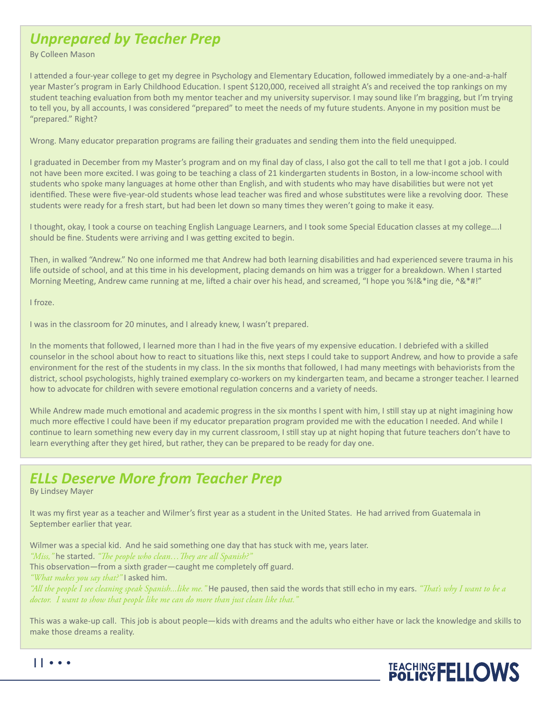### *Unprepared by Teacher Prep*

By Colleen Mason

I attended a four-year college to get my degree in Psychology and Elementary Education, followed immediately by a one-and-a-half year Master's program in Early Childhood Education. I spent \$120,000, received all straight A's and received the top rankings on my student teaching evaluation from both my mentor teacher and my university supervisor. I may sound like I'm bragging, but I'm trying to tell you, by all accounts, I was considered "prepared" to meet the needs of my future students. Anyone in my position must be "prepared." Right?

Wrong. Many educator preparation programs are failing their graduates and sending them into the field unequipped.

I graduated in December from my Master's program and on my final day of class, I also got the call to tell me that I got a job. I could not have been more excited. I was going to be teaching a class of 21 kindergarten students in Boston, in a low-income school with students who spoke many languages at home other than English, and with students who may have disabilities but were not yet identified. These were five-year-old students whose lead teacher was fired and whose substitutes were like a revolving door. These students were ready for a fresh start, but had been let down so many times they weren't going to make it easy.

I thought, okay, I took a course on teaching English Language Learners, and I took some Special Education classes at my college….I should be fine. Students were arriving and I was getting excited to begin.

Then, in walked "Andrew." No one informed me that Andrew had both learning disabilities and had experienced severe trauma in his life outside of school, and at this time in his development, placing demands on him was a trigger for a breakdown. When I started Morning Meeting, Andrew came running at me, lifted a chair over his head, and screamed, "I hope you %!&\*ing die, ^&\*#!"

I froze.

I was in the classroom for 20 minutes, and I already knew, I wasn't prepared.

In the moments that followed, I learned more than I had in the five years of my expensive education. I debriefed with a skilled counselor in the school about how to react to situations like this, next steps I could take to support Andrew, and how to provide a safe environment for the rest of the students in my class. In the six months that followed, I had many meetings with behaviorists from the district, school psychologists, highly trained exemplary co-workers on my kindergarten team, and became a stronger teacher. I learned how to advocate for children with severe emotional regulation concerns and a variety of needs.

While Andrew made much emotional and academic progress in the six months I spent with him, I still stay up at night imagining how much more effective I could have been if my educator preparation program provided me with the education I needed. And while I continue to learn something new every day in my current classroom, I still stay up at night hoping that future teachers don't have to learn everything after they get hired, but rather, they can be prepared to be ready for day one.

### *ELLs Deserve More from Teacher Prep*

By Lindsey Mayer

It was my first year as a teacher and Wilmer's first year as a student in the United States. He had arrived from Guatemala in September earlier that year.

Wilmer was a special kid. And he said something one day that has stuck with me, years later. *"Miss,"* he started. *"The people who clean…They are all Spanish?"*

This observation—from a sixth grader—caught me completely off guard.

*"What makes you say that?"* I asked him.

*"All the people I see cleaning speak Spanish...like me."* He paused, then said the words that still echo in my ears. *"That's why I want to be a doctor. I want to show that people like me can do more than just clean like that."*

This was a wake-up call. This job is about people—kids with dreams and the adults who either have or lack the knowledge and skills to make those dreams a reality.

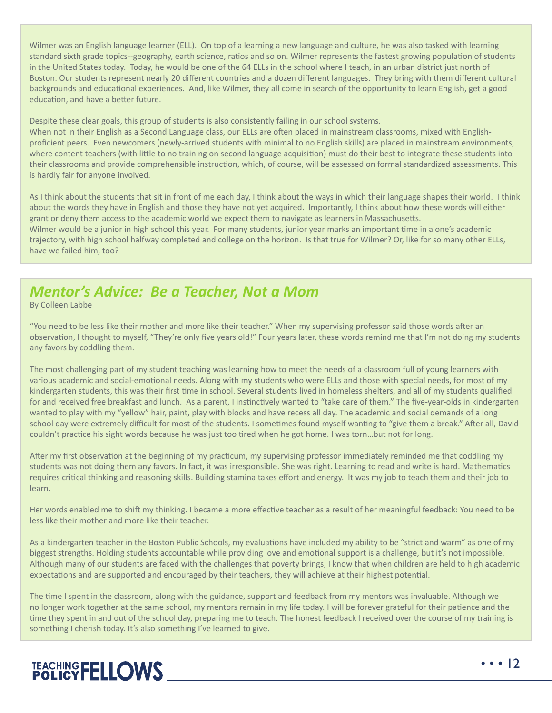Wilmer was an English language learner (ELL). On top of a learning a new language and culture, he was also tasked with learning standard sixth grade topics--geography, earth science, ratios and so on. Wilmer represents the fastest growing population of students in the United States today. Today, he would be one of the 64 ELLs in the school where I teach, in an urban district just north of Boston. Our students represent nearly 20 different countries and a dozen different languages. They bring with them different cultural backgrounds and educational experiences. And, like Wilmer, they all come in search of the opportunity to learn English, get a good education, and have a better future.

Despite these clear goals, this group of students is also consistently failing in our school systems.

When not in their English as a Second Language class, our ELLs are often placed in mainstream classrooms, mixed with Englishproficient peers. Even newcomers (newly-arrived students with minimal to no English skills) are placed in mainstream environments, where content teachers (with little to no training on second language acquisition) must do their best to integrate these students into their classrooms and provide comprehensible instruction, which, of course, will be assessed on formal standardized assessments. This is hardly fair for anyone involved.

As I think about the students that sit in front of me each day, I think about the ways in which their language shapes their world. I think about the words they have in English and those they have not yet acquired. Importantly, I think about how these words will either grant or deny them access to the academic world we expect them to navigate as learners in Massachusetts. Wilmer would be a junior in high school this year. For many students, junior year marks an important time in a one's academic trajectory, with high school halfway completed and college on the horizon. Is that true for Wilmer? Or, like for so many other ELLs, have we failed him, too?

### *Mentor's Advice: Be a Teacher, Not a Mom*

By Colleen Labbe

"You need to be less like their mother and more like their teacher." When my supervising professor said those words after an observation, I thought to myself, "They're only five years old!" Four years later, these words remind me that I'm not doing my students any favors by coddling them.

The most challenging part of my student teaching was learning how to meet the needs of a classroom full of young learners with various academic and social-emotional needs. Along with my students who were ELLs and those with special needs, for most of my kindergarten students, this was their first time in school. Several students lived in homeless shelters, and all of my students qualified for and received free breakfast and lunch. As a parent, I instinctively wanted to "take care of them." The five-year-olds in kindergarten wanted to play with my "yellow" hair, paint, play with blocks and have recess all day. The academic and social demands of a long school day were extremely difficult for most of the students. I sometimes found myself wanting to "give them a break." After all, David couldn't practice his sight words because he was just too tired when he got home. I was torn…but not for long.

After my first observation at the beginning of my practicum, my supervising professor immediately reminded me that coddling my students was not doing them any favors. In fact, it was irresponsible. She was right. Learning to read and write is hard. Mathematics requires critical thinking and reasoning skills. Building stamina takes effort and energy. It was my job to teach them and their job to learn.

Her words enabled me to shift my thinking. I became a more effective teacher as a result of her meaningful feedback: You need to be less like their mother and more like their teacher.

As a kindergarten teacher in the Boston Public Schools, my evaluations have included my ability to be "strict and warm" as one of my biggest strengths. Holding students accountable while providing love and emotional support is a challenge, but it's not impossible. Although many of our students are faced with the challenges that poverty brings, I know that when children are held to high academic expectations and are supported and encouraged by their teachers, they will achieve at their highest potential.

The time I spent in the classroom, along with the guidance, support and feedback from my mentors was invaluable. Although we no longer work together at the same school, my mentors remain in my life today. I will be forever grateful for their patience and the time they spent in and out of the school day, preparing me to teach. The honest feedback I received over the course of my training is something I cherish today. It's also something I've learned to give.

## TEACHING FELLOWS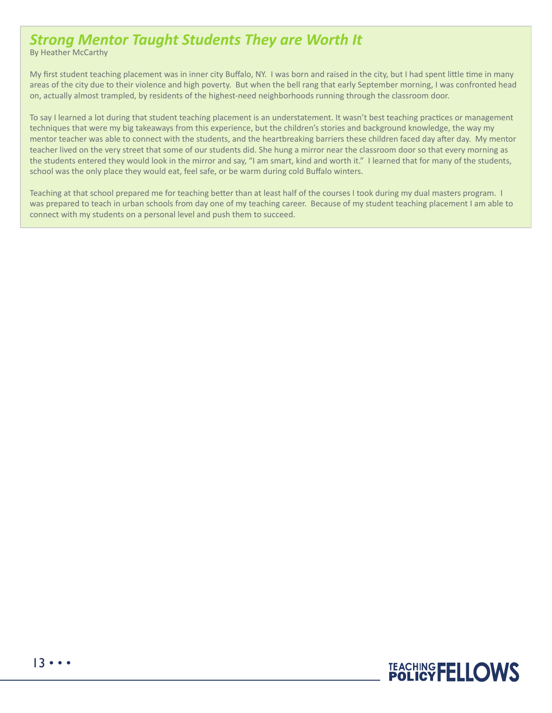### *Strong Mentor Taught Students They are Worth It*

By Heather McCarthy

My first student teaching placement was in inner city Buffalo, NY. I was born and raised in the city, but I had spent little time in many areas of the city due to their violence and high poverty. But when the bell rang that early September morning, I was confronted head on, actually almost trampled, by residents of the highest-need neighborhoods running through the classroom door.

To say I learned a lot during that student teaching placement is an understatement. It wasn't best teaching practices or management techniques that were my big takeaways from this experience, but the children's stories and background knowledge, the way my mentor teacher was able to connect with the students, and the heartbreaking barriers these children faced day after day. My mentor teacher lived on the very street that some of our students did. She hung a mirror near the classroom door so that every morning as the students entered they would look in the mirror and say, "I am smart, kind and worth it." I learned that for many of the students, school was the only place they would eat, feel safe, or be warm during cold Buffalo winters.

Teaching at that school prepared me for teaching better than at least half of the courses I took during my dual masters program. I was prepared to teach in urban schools from day one of my teaching career. Because of my student teaching placement I am able to connect with my students on a personal level and push them to succeed.

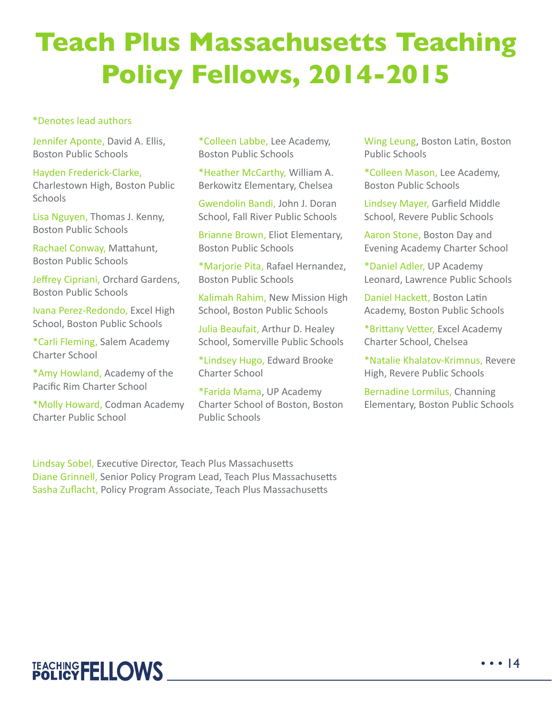## **Teach Plus Massachusetts Teaching Policy Fellows, 2014-2015**

#### \*Denotes lead authors

Jennifer Aponte, David A. Ellis, Boston Public Schools

Hayden Frederick-Clarke, Charlestown High, Boston Public **Schools** 

Lisa Nguyen, Thomas J. Kenny, Boston Public Schools

Rachael Conway, Mattahunt, Boston Public Schools

Jeffrey Cipriani, Orchard Gardens, Boston Public Schools

Ivana Perez-Redondo, Excel High School, Boston Public Schools

\*Carli Fleming, Salem Academy Charter School

\*Amy Howland, Academy of the Pacific Rim Charter School

\*Molly Howard, Codman Academy Charter Public School

\*Colleen Labbe, Lee Academy, Boston Public Schools

\*Heather McCarthy, William A. Berkowitz Elementary, Chelsea

Gwendolin Bandi, John J. Doran School, Fall River Public Schools

Brianne Brown, Eliot Elementary, Boston Public Schools

\*Marjorie Pita, Rafael Hernandez, Boston Public Schools

Kalimah Rahim, New Mission High School, Boston Public Schools

Julia Beaufait, Arthur D. Healey School, Somerville Public Schools

\*Lindsey Hugo, Edward Brooke Charter School

\*Farida Mama, UP Academy Charter School of Boston, Boston Public Schools

Wing Leung, Boston Latin, Boston Public Schools

\*Colleen Mason, Lee Academy, Boston Public Schools

Lindsey Mayer, Garfield Middle School, Revere Public Schools

Aaron Stone, Boston Day and Evening Academy Charter School

\*Daniel Adler, UP Academy Leonard, Lawrence Public Schools

Daniel Hackett, Boston Latin Academy, Boston Public Schools

\*Brittany Vetter, Excel Academy Charter School, Chelsea

\*Natalie Khalatov-Krimnus, Revere High, Revere Public Schools

Bernadine Lormilus, Channing Elementary, Boston Public Schools

Lindsay Sobel, Executive Director, Teach Plus Massachusetts Diane Grinnell, Senior Policy Program Lead, Teach Plus Massachusetts Sasha Zuflacht, Policy Program Associate, Teach Plus Massachusetts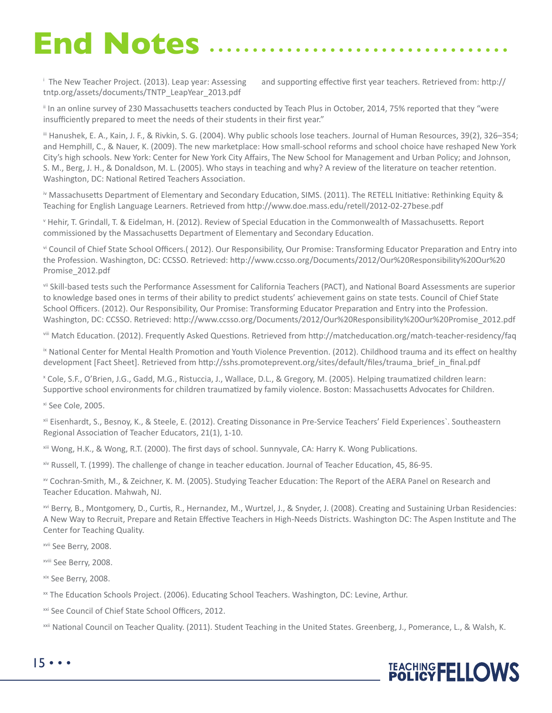# **End Notes**

<sup>i</sup> The New Teacher Project. (2013). Leap year: Assessing tntp.org/assets/documents/TNTP\_LeapYear\_2013.pdf

and supporting effective first year teachers. Retrieved from: http://

ii In an online survey of 230 Massachusetts teachers conducted by Teach Plus in October, 2014, 75% reported that they "were insufficiently prepared to meet the needs of their students in their first year."

iii Hanushek, E. A., Kain, J. F., & Rivkin, S. G. (2004). Why public schools lose teachers. Journal of Human Resources, 39(2), 326–354; and Hemphill, C., & Nauer, K. (2009). The new marketplace: How small-school reforms and school choice have reshaped New York City's high schools. New York: Center for New York City Affairs, The New School for Management and Urban Policy; and Johnson, S. M., Berg, J. H., & Donaldson, M. L. (2005). Who stays in teaching and why? A review of the literature on teacher retention. Washington, DC: National Retired Teachers Association.

iv Massachusetts Department of Elementary and Secondary Education, SIMS. (2011). The RETELL Initiative: Rethinking Equity & Teaching for English Language Learners. Retrieved from http://www.doe.mass.edu/retell/2012-02-27bese.pdf

v Hehir, T. Grindall, T. & Eidelman, H. (2012). Review of Special Education in the Commonwealth of Massachusetts. Report commissioned by the Massachusetts Department of Elementary and Secondary Education.

vi Council of Chief State School Officers.( 2012). Our Responsibility, Our Promise: Transforming Educator Preparation and Entry into the Profession. Washington, DC: CCSSO. Retrieved: http://www.ccsso.org/Documents/2012/Our%20Responsibility%20Our%20 Promise\_2012.pdf

vii Skill-based tests such the Performance Assessment for California Teachers (PACT), and National Board Assessments are superior to knowledge based ones in terms of their ability to predict students' achievement gains on state tests. Council of Chief State School Officers. (2012). Our Responsibility, Our Promise: Transforming Educator Preparation and Entry into the Profession. Washington, DC: CCSSO. Retrieved: http://www.ccsso.org/Documents/2012/Our%20Responsibility%20Our%20Promise\_2012.pdf

viii Match Education. (2012). Frequently Asked Questions. Retrieved from http://matcheducation.org/match-teacher-residency/faq

**EXAT Mational Center for Mental Health Promotion and Youth Violence Prevention. (2012). Childhood trauma and its effect on healthy** development [Fact Sheet]. Retrieved from http://sshs.promoteprevent.org/sites/default/files/trauma\_brief\_in\_final.pdf

x Cole, S.F., O'Brien, J.G., Gadd, M.G., Ristuccia, J., Wallace, D.L., & Gregory, M. (2005). Helping traumatized children learn: Supportive school environments for children traumatized by family violence. Boston: Massachusetts Advocates for Children.

xi See Cole, 2005.

xii Eisenhardt, S., Besnoy, K., & Steele, E. (2012). Creating Dissonance in Pre-Service Teachers' Field Experiences`. Southeastern Regional Association of Teacher Educators, 21(1), 1-10.

xiii Wong, H.K., & Wong, R.T. (2000). The first days of school. Sunnyvale, CA: Harry K. Wong Publications.

xiv Russell, T. (1999). The challenge of change in teacher education. Journal of Teacher Education, 45, 86-95.

xv Cochran-Smith, M., & Zeichner, K. M. (2005). Studying Teacher Education: The Report of the AERA Panel on Research and Teacher Education. Mahwah, NJ.

xvi Berry, B., Montgomery, D., Curtis, R., Hernandez, M., Wurtzel, J., & Snyder, J. (2008). Creating and Sustaining Urban Residencies: A New Way to Recruit, Prepare and Retain Effective Teachers in High-Needs Districts. Washington DC: The Aspen Institute and The Center for Teaching Quality.

xvii See Berry, 2008.

xviii See Berry, 2008.

xix See Berry, 2008.

xx The Education Schools Project. (2006). Educating School Teachers. Washington, DC: Levine, Arthur.

<sup>xxi</sup> See Council of Chief State School Officers, 2012.

xxii National Council on Teacher Quality. (2011). Student Teaching in the United States. Greenberg, J., Pomerance, L., & Walsh, K.